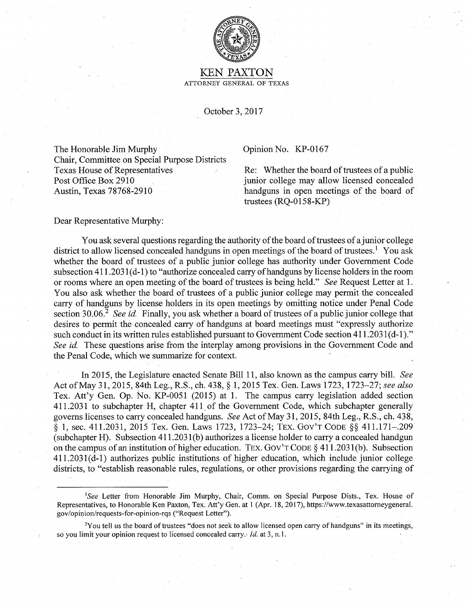

## KEN PAXTON ATTORNEY GENERAL OF TEXAS

October 3, 2017

The Honorable Jim Murphy Opinion No. KP-0167 Chair, Committee on Special Purpose Districts Texas House of Representatives Re: Whether the board of trustees of a public Post Office Box 2910 Austin, Texas 78768-2910

junior college may allow licensed concealed handguns in open meetings of the board of trustees (RQ-0158-KP)

Dear Representative Murphy:

You ask several questions regarding the authority of the board of trustees of a junior college district to allow licensed concealed handguns in open meetings of the board of trustees.<sup>1</sup> You ask whether the board of trustees of a public junior college has authority under Government Code subsection  $411.2031(d-1)$  to "authorize concealed carry of handguns by license holders in the room or rooms where an open meeting of the board of trustees is being held." *See* Request Letter at 1. You also ask whether the board of trustees of a public junior college may permit the concealed carry of handguns by license holders in its open meetings by omitting notice under Penal Code section 30.06<sup>2</sup> See id. Finally, you ask whether a board of trustees of a public junior college that desires to permit the concealed carry of handguns at board meetings must "expressly authorize such conduct in its written rules established pursuant to Government Code section 411.2031(d-1)." *See id.* These questions arise from the interplay among provisions in the Government Code and the Penal Code, which we summarize for context.

In 2015, the Legislature enacted Senate Bill 11, also known as the campus carry bill. *See*  Act of May 31, 2015, 84th Leg., R.S., ch. 438, § 1, 2015 Tex. den. Laws 1723, 1723-27; *see also*  Tex. Att'y Gen. Op. No. KP-0051 (2015) at 1. The campus carry legislation added section 411.2031 to subchapter H, chapter 411. of the Government Code, which subchapter generally governs licenses to carry concealed handguns. *See* Act of May 31, 2015, 84th Leg., R.S., ch. 438, § 1, sec. 411.2031, 2015 Tex. Gen. Laws 1723, 1723-24; TEX. Gov'T CODE§§ 411.171-.209 (subchapter H). Subsection 41 l.2031(b) authorizes a license holder to carry a concealed handgun on the campus of an institution of higher education. TEX. GOV'T CODE  $\S$  411.2031(b). Subsection  $411.2031(d-1)$  authorizes public institutions of higher education, which include junior college districts, to "establish reasonable rules, regulations, or other provisions regarding the carrying of

<sup>1</sup> *See* Letter from Honorable Jim Murphy, Chair, Comm. on Special Purpose Dists., Tex. House of Representatives, to Honorable Ken Paxton, Tex. Att'y Gen. at I (Apr. 18, 2017), https://www.texasattomeygeneral. gov/opinion/requests-for-opinion-rqs ("Request Letter").

<sup>&</sup>lt;sup>2</sup>You tell us the board of trustees "does not seek to allow licensed open carry of handguns" in its meetings, so you limit your opinion request to licensed concealed carry.' *Id.* at 3, n.1.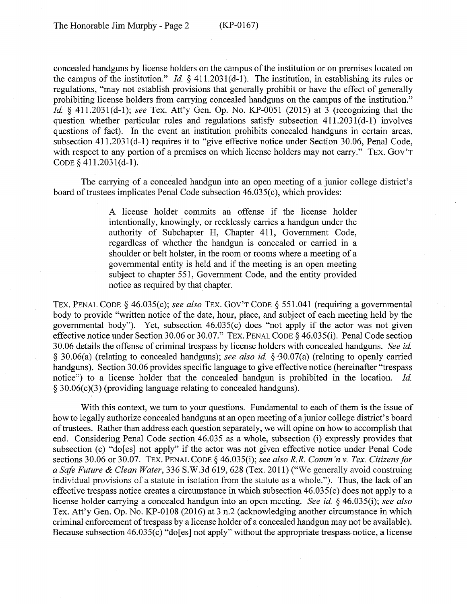concealed handguns by license holders on the campus of the institution or on premises located on the campus of the institution." *Id§* 411.2031(d-1). The institution, in establishing its rules or regulations, "may not establish provisions that generally prohibit or have the effect of generally prohibiting license holders from carrying concealed handguns on the campus of the institution." *Id.* § 411.203 l(d-1); *see* Tex. Att'y Gen. Op. No. KP-0051 (2015) at 3 (recognizing that the question whether particular rules and regulations satisfy subsection  $411.2031(d-1)$  involves questions of fact). In the event an institution prohibits concealed handguns in certain areas, subsection 411.2031(d-1) requires it to "give effective notice under Section 30.06, Penal Code, with respect to any portion of a premises on which license holders may not carry." TEX. GOV'T CODE§ 411.203 l(d-l).

The carrying of a concealed handgun into an open meeting of a junior college district's board of trustees implicates Penal Code subsection 46.035(c), which provides:

> A license holder commits an offense if the license holder intentionally, knowingly, or recklessly carries a handgun under the authority of Subchapter H, Chapter 411, Government Code, regardless of whether the handgun is concealed or carried in a shoulder or belt holster, in the room or rooms where a meeting of a governmental entity is held and if the meeting is an open meeting subject to chapter 551, Government Code, and the entity provided notice as required by that chapter.

TEX. PENAL CODE § 46.035(c); *see also* TEX. Gov'T CODE § 551.041 (requiring a governmental body to provide "written notice of the date, hour, place, and subject of each meeting held by the governmental body"). Yet, subsection 46.035(c) does "not apply if the actor was not given effective notice under Section 30.06 or 30.07." TEX. PENAL CODE§ 46.035(i). Penal Code section 30.06 details the offense of criminal trespass by license holders with concealed handguns. *See id.*  § 30.06(a) (relating to concealed handguns); *see also id.* § ·30.07(a) (relating to openly carried handguns). Section 30.06 provides specific language to give effective notice (hereinafter "trespass notice") to a license holder that the concealed handgun is prohibited in the location. *Id.*  § 30.06(c)(3) (providing language relating to concealed handguns).

With this context, we tum to your questions. Fundamental to each of them is the issue of how to legally authorize concealed handguns at an open meeting of a junior college district's board of trustees. Rather than address each question separately, we will opine on how to accomplish that end. Considering Penal Code section 46.035 as a whole, subsection (i) expressly provides that subsection (c) "do[es] not apply" if the actor was not given effective notice under Penal Code sections 30.06 or 30.07. TEX. PENAL CODE§ 46.035(i); *see also R.R. Comm 'n v. Tex. Citizens for a Safe Future* & *Clean Water,* 336 S.W.3d 619, 628 (Tex. 2011) ("We generally avoid construing individual provisions of a statute in isolation from the statute as a whole."). Thus, the lack of an effective trespass notice creates a circumstance in which subsection  $46.035(c)$  does not apply to a license holder carrying a concealed handgun into an open meeting. *See id.* § 46.035(i); *see also*  Tex. Att'y Gen. Op. No. KP-0108 (2016) at 3 n.2 (acknowledging another circumstance in which criminal enforcement of trespass by a license holder of a concealed handgun may not be available). Because subsection 46.035(c) "do[es] not apply" without the appropriate trespass notice, a license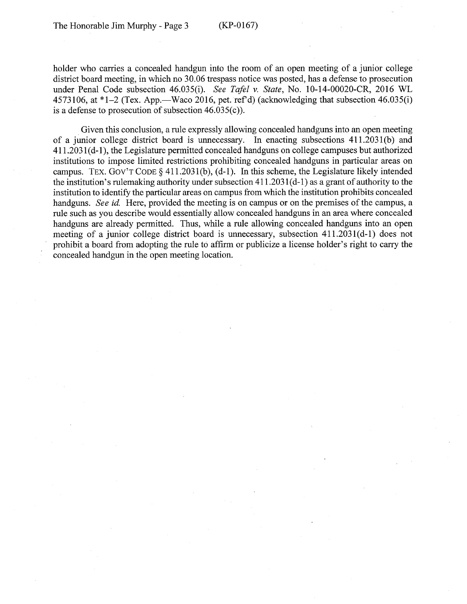holder who carries a concealed handgun into the room of an open meeting of a junior college district board meeting, in which no 30.06 trespass notice was posted, has a defense to prosecution under Penal Code subsection 46.035(i). *See Tafel v. State,* No. 10-14-00020-CR, 2016 WL 4573106, at  $*1-2$  (Tex. App.—Waco 2016, pet. ref'd) (acknowledging that subsection 46.035(i) is a defense to prosecution of subsection  $46.035(c)$ ).

Given this conclusion, a rule expressly allowing concealed handguns into an open meeting of a junior college district board is unnecessary. In enacting subsections 411.2031 (b) and 411.2031 ( d-1 ), the Legislature permitted concealed handguns on college campuses but authorized institutions to impose limited restrictions prohibiting concealed handguns in particular areas on campus. TEX. GOV'T CODE § 411.2031(b),  $(d-1)$ . In this scheme, the Legislature likely intended the institution's rulemaking authority under subsection  $411.2031(d-1)$  as a grant of authority to the institution to identify the particular areas on campus from which the institution prohibits concealed handguns. *See id.* Here, provided the meeting is on campus or on the premises of the campus, a rule such as you describe would essentially allow concealed handguns in an area where concealed handguns are already permitted. Thus, while a rule allowing concealed handguns into an open meeting of a junior college district board is unnecessary, subsection  $411.2031(d-1)$  does not prohibit a board from adopting the rule to affirm or publicize a license holder's right to carry the concealed handgun in the open meeting location.